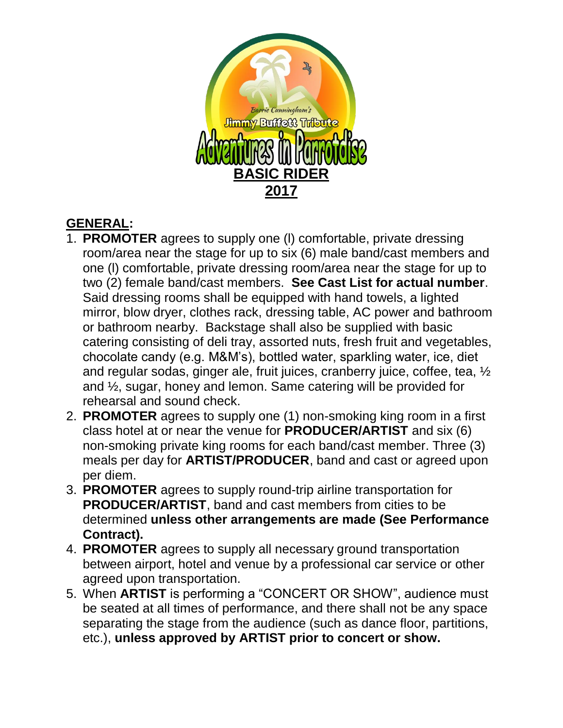

# **GENERAL:**

- 1. **PROMOTER** agrees to supply one (l) comfortable, private dressing room/area near the stage for up to six (6) male band/cast members and one (l) comfortable, private dressing room/area near the stage for up to two (2) female band/cast members. **See Cast List for actual number**. Said dressing rooms shall be equipped with hand towels, a lighted mirror, blow dryer, clothes rack, dressing table, AC power and bathroom or bathroom nearby. Backstage shall also be supplied with basic catering consisting of deli tray, assorted nuts, fresh fruit and vegetables, chocolate candy (e.g. M&M's), bottled water, sparkling water, ice, diet and regular sodas, ginger ale, fruit juices, cranberry juice, coffee, tea, ½ and ½, sugar, honey and lemon. Same catering will be provided for rehearsal and sound check.
- 2. **PROMOTER** agrees to supply one (1) non-smoking king room in a first class hotel at or near the venue for **PRODUCER/ARTIST** and six (6) non-smoking private king rooms for each band/cast member. Three (3) meals per day for **ARTIST/PRODUCER**, band and cast or agreed upon per diem.
- 3. **PROMOTER** agrees to supply round-trip airline transportation for **PRODUCER/ARTIST**, band and cast members from cities to be determined **unless other arrangements are made (See Performance Contract).**
- 4. **PROMOTER** agrees to supply all necessary ground transportation between airport, hotel and venue by a professional car service or other agreed upon transportation.
- 5. When **ARTIST** is performing a "CONCERT OR SHOW", audience must be seated at all times of performance, and there shall not be any space separating the stage from the audience (such as dance floor, partitions, etc.), **unless approved by ARTIST prior to concert or show.**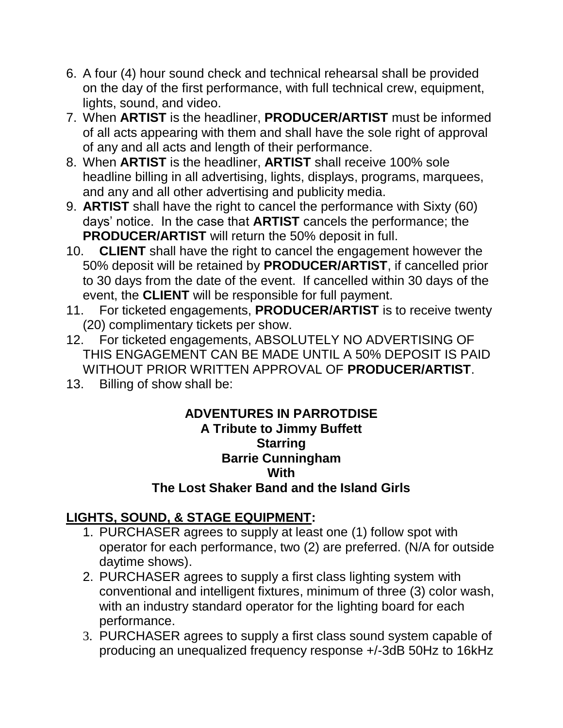- 6. A four (4) hour sound check and technical rehearsal shall be provided on the day of the first performance, with full technical crew, equipment, lights, sound, and video.
- 7. When **ARTIST** is the headliner, **PRODUCER/ARTIST** must be informed of all acts appearing with them and shall have the sole right of approval of any and all acts and length of their performance.
- 8. When **ARTIST** is the headliner, **ARTIST** shall receive 100% sole headline billing in all advertising, lights, displays, programs, marquees, and any and all other advertising and publicity media.
- 9. **ARTIST** shall have the right to cancel the performance with Sixty (60) days' notice. In the case that **ARTIST** cancels the performance; the **PRODUCER/ARTIST** will return the 50% deposit in full.
- 10. **CLIENT** shall have the right to cancel the engagement however the 50% deposit will be retained by **PRODUCER/ARTIST**, if cancelled prior to 30 days from the date of the event. If cancelled within 30 days of the event, the **CLIENT** will be responsible for full payment.
- 11. For ticketed engagements, **PRODUCER/ARTIST** is to receive twenty (20) complimentary tickets per show.
- 12. For ticketed engagements, ABSOLUTELY NO ADVERTISING OF THIS ENGAGEMENT CAN BE MADE UNTIL A 50% DEPOSIT IS PAID WITHOUT PRIOR WRITTEN APPROVAL OF **PRODUCER/ARTIST**.
- 13. Billing of show shall be:

#### **ADVENTURES IN PARROTDISE A Tribute to Jimmy Buffett Starring Barrie Cunningham With The Lost Shaker Band and the Island Girls**

## **LIGHTS, SOUND, & STAGE EQUIPMENT:**

- 1. PURCHASER agrees to supply at least one (1) follow spot with operator for each performance, two (2) are preferred. (N/A for outside daytime shows).
- 2. PURCHASER agrees to supply a first class lighting system with conventional and intelligent fixtures, minimum of three (3) color wash, with an industry standard operator for the lighting board for each performance.
- 3. PURCHASER agrees to supply a first class sound system capable of producing an unequalized frequency response +/-3dB 50Hz to 16kHz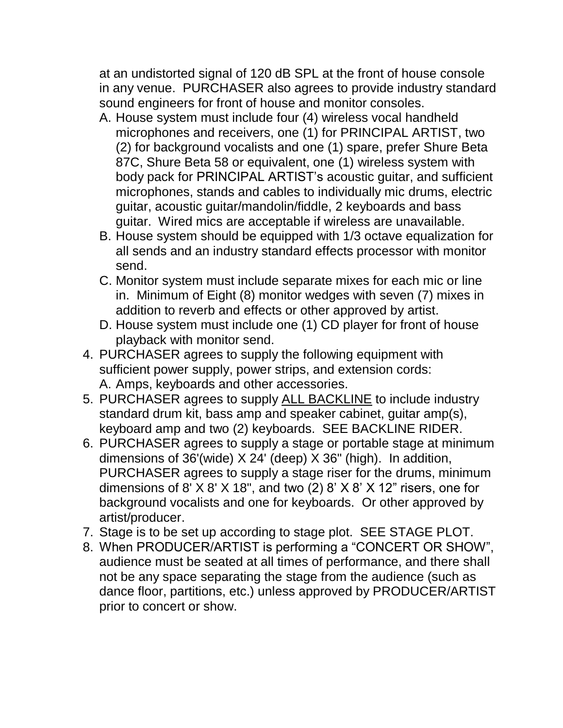at an undistorted signal of 120 dB SPL at the front of house console in any venue. PURCHASER also agrees to provide industry standard sound engineers for front of house and monitor consoles.

- A. House system must include four (4) wireless vocal handheld microphones and receivers, one (1) for PRINCIPAL ARTIST, two (2) for background vocalists and one (1) spare, prefer Shure Beta 87C, Shure Beta 58 or equivalent, one (1) wireless system with body pack for PRINCIPAL ARTIST's acoustic guitar, and sufficient microphones, stands and cables to individually mic drums, electric guitar, acoustic guitar/mandolin/fiddle, 2 keyboards and bass guitar. Wired mics are acceptable if wireless are unavailable.
- B. House system should be equipped with 1/3 octave equalization for all sends and an industry standard effects processor with monitor send.
- C. Monitor system must include separate mixes for each mic or line in. Minimum of Eight (8) monitor wedges with seven (7) mixes in addition to reverb and effects or other approved by artist.
- D. House system must include one (1) CD player for front of house playback with monitor send.
- 4. PURCHASER agrees to supply the following equipment with sufficient power supply, power strips, and extension cords: A. Amps, keyboards and other accessories.
- 5. PURCHASER agrees to supply ALL BACKLINE to include industry standard drum kit, bass amp and speaker cabinet, guitar amp(s), keyboard amp and two (2) keyboards. SEE BACKLINE RIDER.
- 6. PURCHASER agrees to supply a stage or portable stage at minimum dimensions of 36'(wide) X 24' (deep) X 36" (high). In addition, PURCHASER agrees to supply a stage riser for the drums, minimum dimensions of 8'  $X$  8'  $X$  18", and two (2) 8'  $X$  8'  $X$  12" risers, one for background vocalists and one for keyboards. Or other approved by artist/producer.
- 7. Stage is to be set up according to stage plot. SEE STAGE PLOT.
- 8. When PRODUCER/ARTIST is performing a "CONCERT OR SHOW", audience must be seated at all times of performance, and there shall not be any space separating the stage from the audience (such as dance floor, partitions, etc.) unless approved by PRODUCER/ARTIST prior to concert or show.